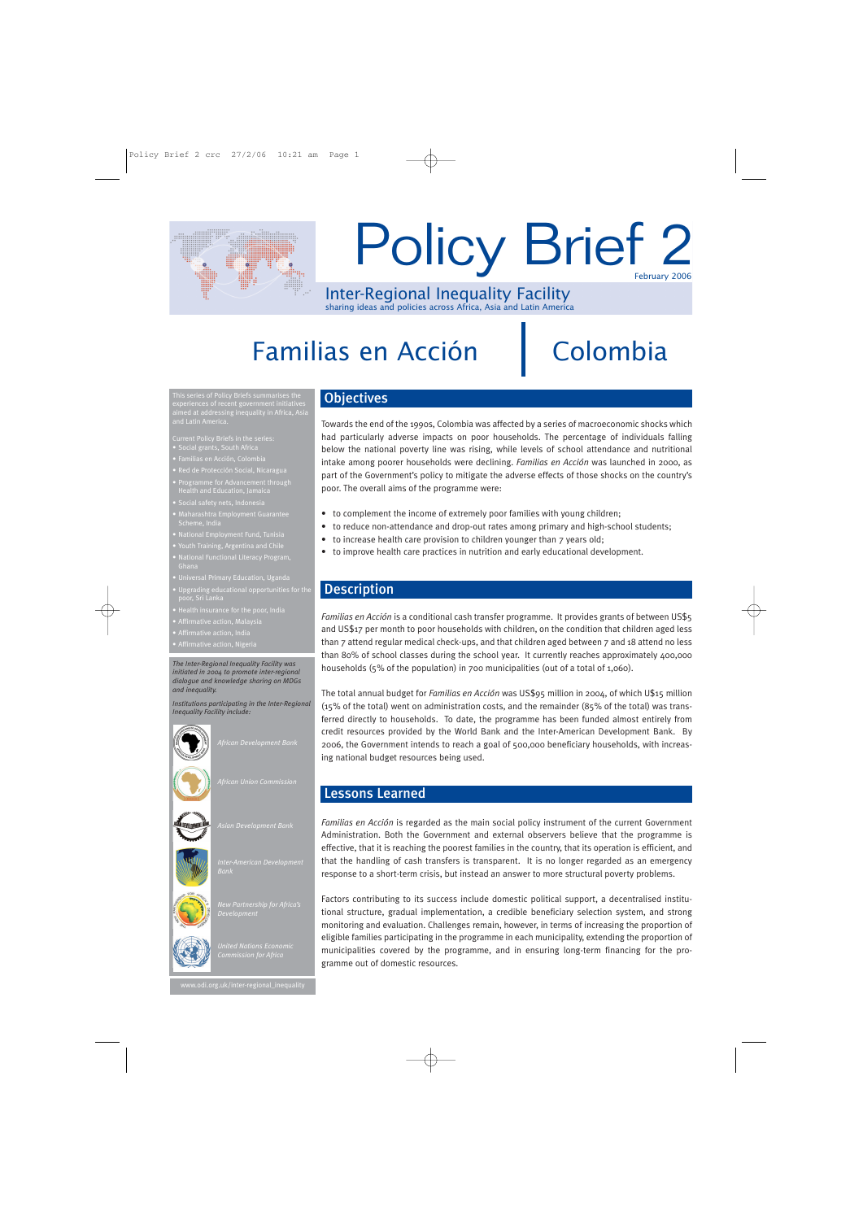

# February 2006 Policy Brief 2

Inter-Regional Inequality Facility sharing ideas and policies across Africa, Asia and Latin America

# Familias en Acción

# Colombia

This series of Policy Briefs summarises the aimed at addressing inequality in Africa, Asia and Latin America.

Current Policy Briefs in the series:

- Social grants, South Africa
- 
- d de Protección Social, Nicaragu Health and Education, Jamaica
- 
- 
- 
- 
- National Functional Literacy Program,
- 
- 
- 
- 
- 

*The Inter-Regional Inequality Facility was initiated in 2004 to promote inter-regional dialogue and knowledge sharing on MDGs and inequality.*

*Institutions participating in the Inter-Regional Inequality Facility include:*



*African Union Commission*



*Asian Development Bank*





*United Nations Economic* 

*Development*

## **Objectives**

Towards the end of the 1990s, Colombia was affected by a series of macroeconomic shocks which had particularly adverse impacts on poor households. The percentage of individuals falling below the national poverty line was rising, while levels of school attendance and nutritional intake among poorer households were declining. *Familias en Acción* was launched in 2000, as part of the Government's policy to mitigate the adverse effects of those shocks on the country's poor. The overall aims of the programme were:

- to complement the income of extremely poor families with young children;
- to reduce non-attendance and drop-out rates among primary and high-school students;
- to increase health care provision to children younger than 7 years old;
- to improve health care practices in nutrition and early educational development.

## **Description**

*Familias en Acción* is a conditional cash transfer programme. It provides grants of between US\$5 and US\$17 per month to poor households with children, on the condition that children aged less than 7 attend regular medical check-ups, and that children aged between 7 and 18 attend no less than 80% of school classes during the school year. It currently reaches approximately 400,000 households (5% of the population) in 700 municipalities (out of a total of 1,060).

The total annual budget for *Familias en Acción* was US\$95 million in 2004, of which U\$15 million (15% of the total) went on administration costs, and the remainder (85% of the total) was transferred directly to households. To date, the programme has been funded almost entirely from credit resources provided by the World Bank and the Inter-American Development Bank. By 2006, the Government intends to reach a goal of 500,000 beneficiary households, with increasing national budget resources being used.

# Lessons Learned

*Familias en Acción* is regarded as the main social policy instrument of the current Government Administration. Both the Government and external observers believe that the programme is effective, that it is reaching the poorest families in the country, that its operation is efficient, and that the handling of cash transfers is transparent. It is no longer regarded as an emergency response to a short-term crisis, but instead an answer to more structural poverty problems.

Factors contributing to its success include domestic political support, a decentralised institutional structure, gradual implementation, a credible beneficiary selection system, and strong monitoring and evaluation. Challenges remain, however, in terms of increasing the proportion of eligible families participating in the programme in each municipality, extending the proportion of municipalities covered by the programme, and in ensuring long-term financing for the programme out of domestic resources.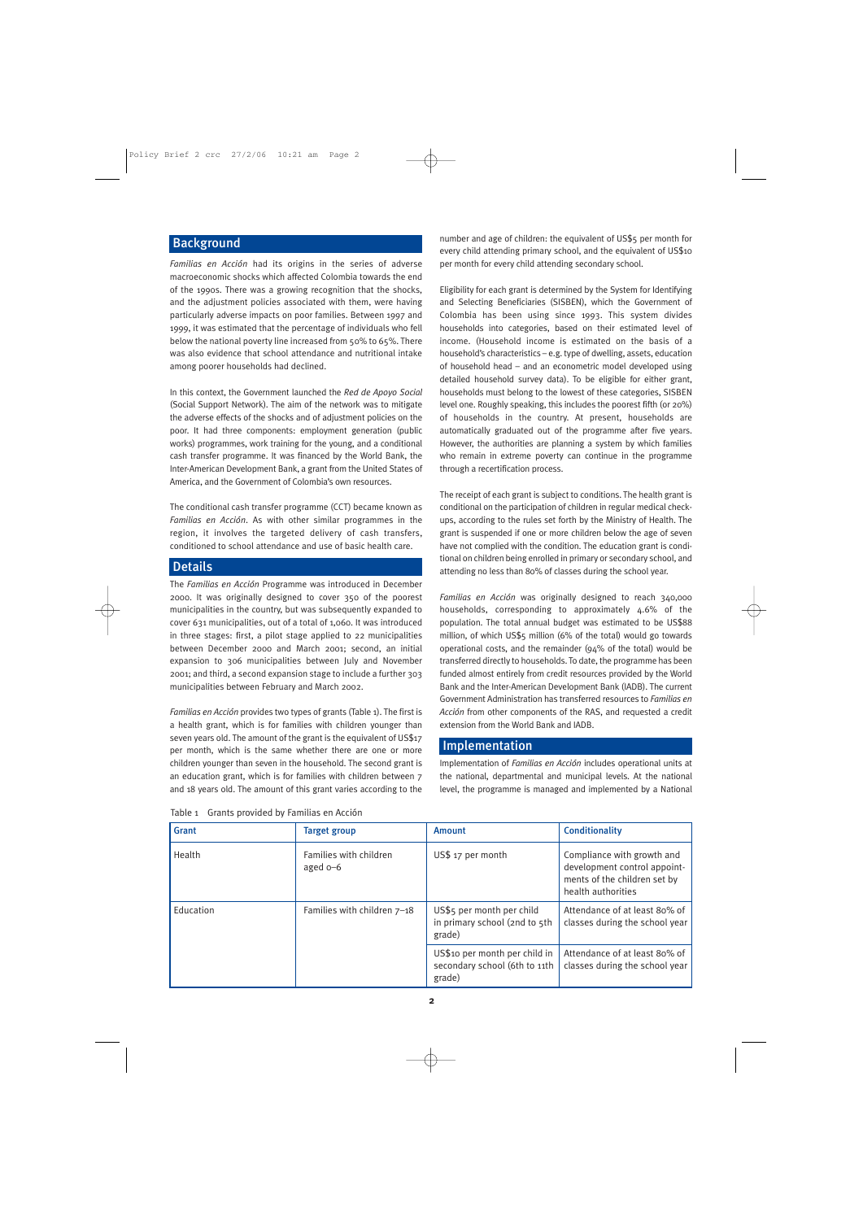## **Background**

*Familias en Acción* had its origins in the series of adverse macroeconomic shocks which affected Colombia towards the end of the 1990s. There was a growing recognition that the shocks, and the adjustment policies associated with them, were having particularly adverse impacts on poor families. Between 1997 and 1999, it was estimated that the percentage of individuals who fell below the national poverty line increased from 50% to 65%. There was also evidence that school attendance and nutritional intake among poorer households had declined.

In this context, the Government launched the *Red de Apoyo Social* (Social Support Network). The aim of the network was to mitigate the adverse effects of the shocks and of adjustment policies on the poor. It had three components: employment generation (public works) programmes, work training for the young, and a conditional cash transfer programme. It was financed by the World Bank, the Inter-American Development Bank, a grant from the United States of America, and the Government of Colombia's own resources.

The conditional cash transfer programme (CCT) became known as *Familias en Acción*. As with other similar programmes in the region, it involves the targeted delivery of cash transfers, conditioned to school attendance and use of basic health care.

#### Details

The *Familias en Acción* Programme was introduced in December 2000. It was originally designed to cover 350 of the poorest municipalities in the country, but was subsequently expanded to cover 631 municipalities, out of a total of 1,060. It was introduced in three stages: first, a pilot stage applied to 22 municipalities between December 2000 and March 2001; second, an initial expansion to 306 municipalities between July and November 2001; and third, a second expansion stage to include a further 303 municipalities between February and March 2002.

*Familias en Acción* provides two types of grants (Table 1). The first is a health grant, which is for families with children younger than seven years old. The amount of the grant is the equivalent of US\$17 per month, which is the same whether there are one or more children younger than seven in the household. The second grant is an education grant, which is for families with children between 7 and 18 years old. The amount of this grant varies according to the

Table 1 Grants provided by Familias en Acción

number and age of children: the equivalent of US\$5 per month for every child attending primary school, and the equivalent of US\$10 per month for every child attending secondary school.

Eligibility for each grant is determined by the System for Identifying and Selecting Beneficiaries (SISBEN), which the Government of Colombia has been using since 1993. This system divides households into categories, based on their estimated level of income. (Household income is estimated on the basis of a household's characteristics – e.g. type of dwelling, assets, education of household head – and an econometric model developed using detailed household survey data). To be eligible for either grant, households must belong to the lowest of these categories, SISBEN level one. Roughly speaking, this includes the poorest fifth (or 20%) of households in the country. At present, households are automatically graduated out of the programme after five years. However, the authorities are planning a system by which families who remain in extreme poverty can continue in the programme through a recertification process.

The receipt of each grant is subject to conditions. The health grant is conditional on the participation of children in regular medical checkups, according to the rules set forth by the Ministry of Health. The grant is suspended if one or more children below the age of seven have not complied with the condition. The education grant is conditional on children being enrolled in primary or secondary school, and attending no less than 80% of classes during the school year.

*Familias en Acción* was originally designed to reach 340,000 households, corresponding to approximately 4.6% of the population. The total annual budget was estimated to be US\$88 million, of which US\$5 million (6% of the total) would go towards operational costs, and the remainder (94% of the total) would be transferred directly to households. To date, the programme has been funded almost entirely from credit resources provided by the World Bank and the Inter-American Development Bank (IADB). The current Government Administration has transferred resources to *Familias en Acción* from other components of the RAS, and requested a credit extension from the World Bank and IADB.

#### Implementation

Implementation of *Familias en Acción* includes operational units at the national, departmental and municipal levels. At the national level, the programme is managed and implemented by a National

| Grant     | <b>Target group</b>                   | Amount                                                                   | <b>Conditionality</b>                                                                                            |
|-----------|---------------------------------------|--------------------------------------------------------------------------|------------------------------------------------------------------------------------------------------------------|
| Health    | Families with children<br>aged $o$ –6 | US\$ 17 per month                                                        | Compliance with growth and<br>development control appoint-<br>ments of the children set by<br>health authorities |
| Education | Families with children $7-18$         | US\$5 per month per child<br>in primary school (2nd to 5th<br>grade)     | Attendance of at least 80% of<br>classes during the school year                                                  |
|           |                                       | US\$10 per month per child in<br>secondary school (6th to 11th<br>grade) | Attendance of at least 80% of<br>classes during the school year                                                  |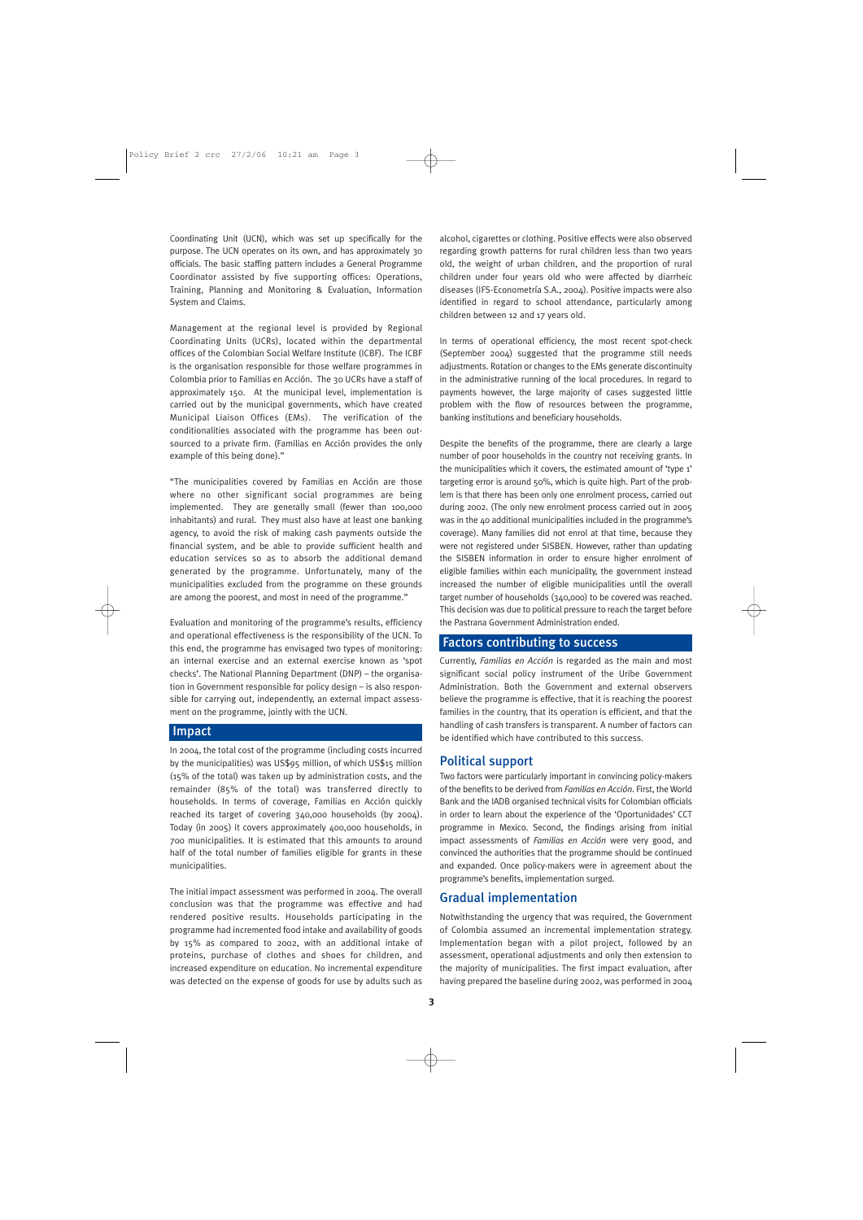Coordinating Unit (UCN), which was set up specifically for the purpose. The UCN operates on its own, and has approximately 30 officials. The basic staffing pattern includes a General Programme Coordinator assisted by five supporting offices: Operations, Training, Planning and Monitoring & Evaluation, Information System and Claims.

Management at the regional level is provided by Regional Coordinating Units (UCRs), located within the departmental offices of the Colombian Social Welfare Institute (ICBF). The ICBF is the organisation responsible for those welfare programmes in Colombia prior to Familias en Acción. The 30 UCRs have a staff of approximately 150. At the municipal level, implementation is carried out by the municipal governments, which have created Municipal Liaison Offices (EMs). The verification of the conditionalities associated with the programme has been outsourced to a private firm. (Familias en Acción provides the only example of this being done)."

"The municipalities covered by Familias en Acción are those where no other significant social programmes are being implemented. They are generally small (fewer than 100,000 inhabitants) and rural. They must also have at least one banking agency, to avoid the risk of making cash payments outside the financial system, and be able to provide sufficient health and education services so as to absorb the additional demand generated by the programme. Unfortunately, many of the municipalities excluded from the programme on these grounds are among the poorest, and most in need of the programme."

Evaluation and monitoring of the programme's results, efficiency and operational effectiveness is the responsibility of the UCN. To this end, the programme has envisaged two types of monitoring: an internal exercise and an external exercise known as 'spot checks'. The National Planning Department (DNP) – the organisation in Government responsible for policy design – is also responsible for carrying out, independently, an external impact assessment on the programme, jointly with the UCN.

#### Impact

In 2004, the total cost of the programme (including costs incurred by the municipalities) was US\$95 million, of which US\$15 million (15% of the total) was taken up by administration costs, and the remainder (85% of the total) was transferred directly to households. In terms of coverage, Familias en Acción quickly reached its target of covering 340,000 households (by 2004). Today (in 2005) it covers approximately 400,000 households, in 700 municipalities. It is estimated that this amounts to around half of the total number of families eligible for grants in these municipalities.

The initial impact assessment was performed in 2004. The overall conclusion was that the programme was effective and had rendered positive results. Households participating in the programme had incremented food intake and availability of goods by 15% as compared to 2002, with an additional intake of proteins, purchase of clothes and shoes for children, and increased expenditure on education. No incremental expenditure was detected on the expense of goods for use by adults such as

alcohol, cigarettes or clothing. Positive effects were also observed regarding growth patterns for rural children less than two years old, the weight of urban children, and the proportion of rural children under four years old who were affected by diarrheic diseases (IFS-Econometría S.A., 2004). Positive impacts were also identified in regard to school attendance, particularly among children between 12 and 17 years old.

In terms of operational efficiency, the most recent spot-check (September 2004) suggested that the programme still needs adjustments. Rotation or changes to the EMs generate discontinuity in the administrative running of the local procedures. In regard to payments however, the large majority of cases suggested little problem with the flow of resources between the programme, banking institutions and beneficiary households.

Despite the benefits of the programme, there are clearly a large number of poor households in the country not receiving grants. In the municipalities which it covers, the estimated amount of 'type 1' targeting error is around 50%, which is quite high. Part of the problem is that there has been only one enrolment process, carried out during 2002. (The only new enrolment process carried out in 2005 was in the 40 additional municipalities included in the programme's coverage). Many families did not enrol at that time, because they were not registered under SISBEN. However, rather than updating the SISBEN information in order to ensure higher enrolment of eligible families within each municipality, the government instead increased the number of eligible municipalities until the overall target number of households (340,000) to be covered was reached. This decision was due to political pressure to reach the target before the Pastrana Government Administration ended.

#### Factors contributing to success

Currently, *Familias en Acción* is regarded as the main and most significant social policy instrument of the Uribe Government Administration. Both the Government and external observers believe the programme is effective, that it is reaching the poorest families in the country, that its operation is efficient, and that the handling of cash transfers is transparent. A number of factors can be identified which have contributed to this success.

#### Political support

Two factors were particularly important in convincing policy-makers of the benefits to be derived from *Familias en Acción*. First, the World Bank and the IADB organised technical visits for Colombian officials in order to learn about the experience of the 'Oportunidades' CCT programme in Mexico. Second, the findings arising from initial impact assessments of *Familias en Acción* were very good, and convinced the authorities that the programme should be continued and expanded. Once policy-makers were in agreement about the programme's benefits, implementation surged.

### Gradual implementation

Notwithstanding the urgency that was required, the Government of Colombia assumed an incremental implementation strategy. Implementation began with a pilot project, followed by an assessment, operational adjustments and only then extension to the majority of municipalities. The first impact evaluation, after having prepared the baseline during 2002, was performed in 2004